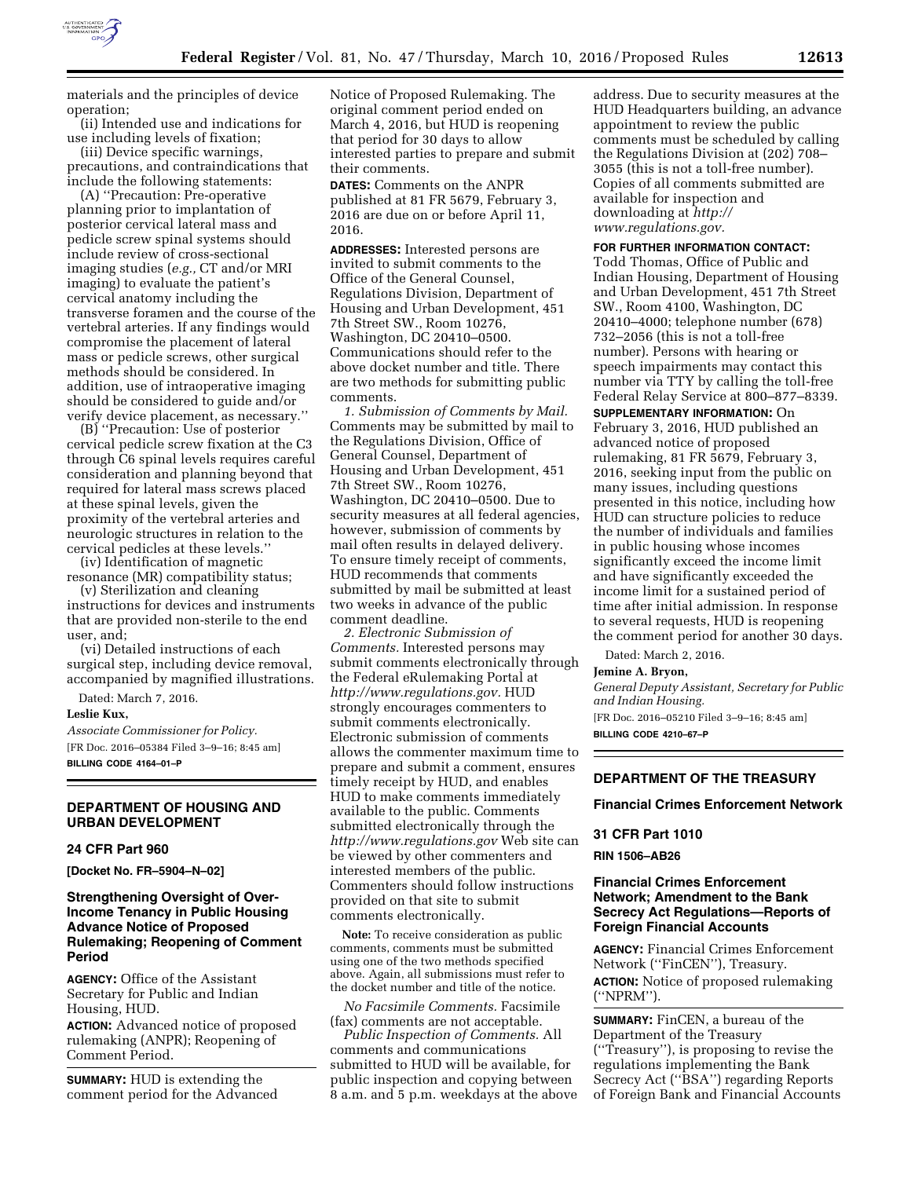

materials and the principles of device operation;

(ii) Intended use and indications for use including levels of fixation;

(iii) Device specific warnings, precautions, and contraindications that include the following statements:

(A) ''Precaution: Pre-operative planning prior to implantation of posterior cervical lateral mass and pedicle screw spinal systems should include review of cross-sectional imaging studies (*e.g.,* CT and/or MRI imaging) to evaluate the patient's cervical anatomy including the transverse foramen and the course of the vertebral arteries. If any findings would compromise the placement of lateral mass or pedicle screws, other surgical methods should be considered. In addition, use of intraoperative imaging should be considered to guide and/or verify device placement, as necessary.''

(B) ''Precaution: Use of posterior cervical pedicle screw fixation at the C3 through C6 spinal levels requires careful consideration and planning beyond that required for lateral mass screws placed at these spinal levels, given the proximity of the vertebral arteries and neurologic structures in relation to the cervical pedicles at these levels.''

(iv) Identification of magnetic resonance (MR) compatibility status;

(v) Sterilization and cleaning instructions for devices and instruments that are provided non-sterile to the end user, and;

(vi) Detailed instructions of each surgical step, including device removal, accompanied by magnified illustrations.

Dated: March 7, 2016.

#### **Leslie Kux,**

*Associate Commissioner for Policy.*  [FR Doc. 2016–05384 Filed 3–9–16; 8:45 am] **BILLING CODE 4164–01–P** 

## **DEPARTMENT OF HOUSING AND URBAN DEVELOPMENT**

## **24 CFR Part 960**

**[Docket No. FR–5904–N–02]** 

## **Strengthening Oversight of Over-Income Tenancy in Public Housing Advance Notice of Proposed Rulemaking; Reopening of Comment Period**

**AGENCY:** Office of the Assistant Secretary for Public and Indian Housing, HUD.

**ACTION:** Advanced notice of proposed rulemaking (ANPR); Reopening of Comment Period.

**SUMMARY:** HUD is extending the comment period for the Advanced Notice of Proposed Rulemaking. The original comment period ended on March 4, 2016, but HUD is reopening that period for 30 days to allow interested parties to prepare and submit their comments.

**DATES:** Comments on the ANPR published at 81 FR 5679, February 3, 2016 are due on or before April 11, 2016.

**ADDRESSES:** Interested persons are invited to submit comments to the Office of the General Counsel, Regulations Division, Department of Housing and Urban Development, 451 7th Street SW., Room 10276, Washington, DC 20410–0500. Communications should refer to the above docket number and title. There are two methods for submitting public comments.

*1. Submission of Comments by Mail.*  Comments may be submitted by mail to the Regulations Division, Office of General Counsel, Department of Housing and Urban Development, 451 7th Street SW., Room 10276, Washington, DC 20410–0500. Due to security measures at all federal agencies, however, submission of comments by mail often results in delayed delivery. To ensure timely receipt of comments, HUD recommends that comments submitted by mail be submitted at least two weeks in advance of the public comment deadline.

*2. Electronic Submission of Comments.* Interested persons may submit comments electronically through the Federal eRulemaking Portal at *[http://www.regulations.gov.](http://www.regulations.gov)* HUD strongly encourages commenters to submit comments electronically. Electronic submission of comments allows the commenter maximum time to prepare and submit a comment, ensures timely receipt by HUD, and enables HUD to make comments immediately available to the public. Comments submitted electronically through the *<http://www.regulations.gov>* Web site can be viewed by other commenters and interested members of the public. Commenters should follow instructions provided on that site to submit comments electronically.

**Note:** To receive consideration as public comments, comments must be submitted using one of the two methods specified above. Again, all submissions must refer to the docket number and title of the notice.

*No Facsimile Comments.* Facsimile (fax) comments are not acceptable.

*Public Inspection of Comments.* All comments and communications submitted to HUD will be available, for public inspection and copying between 8 a.m. and 5 p.m. weekdays at the above

address. Due to security measures at the HUD Headquarters building, an advance appointment to review the public comments must be scheduled by calling the Regulations Division at (202) 708– 3055 (this is not a toll-free number). Copies of all comments submitted are available for inspection and downloading at *[http://](http://www.regulations.gov) [www.regulations.gov.](http://www.regulations.gov)* 

### **FOR FURTHER INFORMATION CONTACT:**

Todd Thomas, Office of Public and Indian Housing, Department of Housing and Urban Development, 451 7th Street SW., Room 4100, Washington, DC 20410–4000; telephone number (678) 732–2056 (this is not a toll-free number). Persons with hearing or speech impairments may contact this number via TTY by calling the toll-free Federal Relay Service at 800–877–8339.

**SUPPLEMENTARY INFORMATION:** On February 3, 2016, HUD published an advanced notice of proposed rulemaking, 81 FR 5679, February 3, 2016, seeking input from the public on many issues, including questions presented in this notice, including how HUD can structure policies to reduce the number of individuals and families in public housing whose incomes significantly exceed the income limit and have significantly exceeded the income limit for a sustained period of time after initial admission. In response to several requests, HUD is reopening the comment period for another 30 days.

Dated: March 2, 2016.

#### **Jemine A. Bryon,**

*General Deputy Assistant, Secretary for Public and Indian Housing.*  [FR Doc. 2016–05210 Filed 3–9–16; 8:45 am]

**BILLING CODE 4210–67–P** 

## **DEPARTMENT OF THE TREASURY**

### **Financial Crimes Enforcement Network**

#### **31 CFR Part 1010**

#### **RIN 1506–AB26**

### **Financial Crimes Enforcement Network; Amendment to the Bank Secrecy Act Regulations—Reports of Foreign Financial Accounts**

**AGENCY:** Financial Crimes Enforcement Network (''FinCEN''), Treasury. **ACTION:** Notice of proposed rulemaking (''NPRM'').

**SUMMARY:** FinCEN, a bureau of the Department of the Treasury (''Treasury''), is proposing to revise the regulations implementing the Bank Secrecy Act (''BSA'') regarding Reports of Foreign Bank and Financial Accounts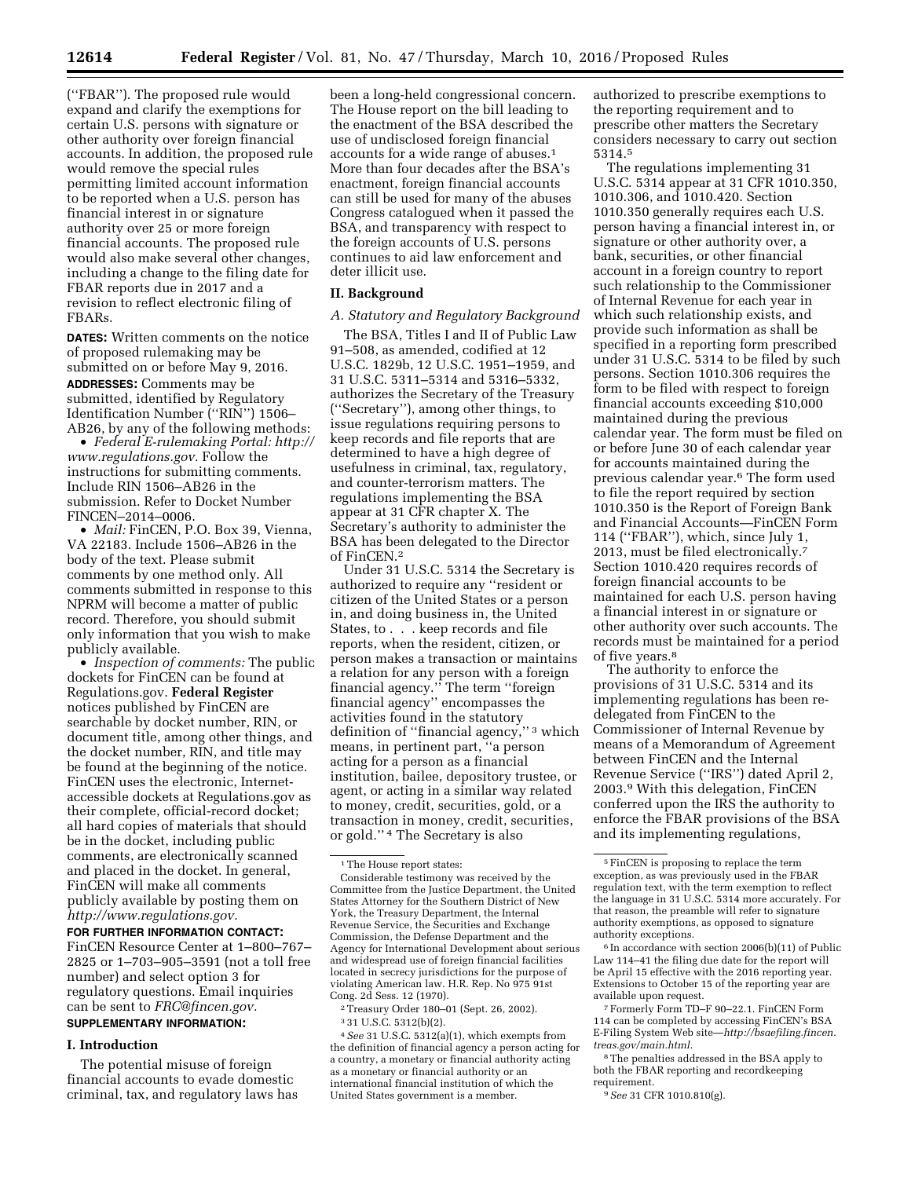(''FBAR''). The proposed rule would expand and clarify the exemptions for certain U.S. persons with signature or other authority over foreign financial accounts. In addition, the proposed rule would remove the special rules permitting limited account information to be reported when a U.S. person has financial interest in or signature authority over 25 or more foreign financial accounts. The proposed rule would also make several other changes, including a change to the filing date for FBAR reports due in 2017 and a revision to reflect electronic filing of FBARs.

**DATES:** Written comments on the notice of proposed rulemaking may be submitted on or before May 9, 2016. **ADDRESSES:** Comments may be submitted, identified by Regulatory Identification Number (''RIN'') 1506– AB26, by any of the following methods:

• *Federal E-rulemaking Portal: [http://](http://www.regulations.gov) [www.regulations.gov.](http://www.regulations.gov)* Follow the instructions for submitting comments. Include RIN 1506–AB26 in the submission. Refer to Docket Number FINCEN–2014–0006.

• *Mail:* FinCEN, P.O. Box 39, Vienna, VA 22183. Include 1506–AB26 in the body of the text. Please submit comments by one method only. All comments submitted in response to this NPRM will become a matter of public record. Therefore, you should submit only information that you wish to make publicly available.

• *Inspection of comments:* The public dockets for FinCEN can be found at Regulations.gov. **Federal Register**  notices published by FinCEN are searchable by docket number, RIN, or document title, among other things, and the docket number, RIN, and title may be found at the beginning of the notice. FinCEN uses the electronic, Internetaccessible dockets at Regulations.gov as their complete, official-record docket; all hard copies of materials that should be in the docket, including public comments, are electronically scanned and placed in the docket. In general, FinCEN will make all comments publicly available by posting them on *[http://www.regulations.gov.](http://www.regulations.gov)* 

**FOR FURTHER INFORMATION CONTACT:**  FinCEN Resource Center at 1–800–767– 2825 or 1–703–905–3591 (not a toll free number) and select option 3 for regulatory questions. Email inquiries can be sent to *[FRC@fincen.gov.](mailto:FRC@fincen.gov)* 

# **SUPPLEMENTARY INFORMATION:**

## **I. Introduction**

The potential misuse of foreign financial accounts to evade domestic criminal, tax, and regulatory laws has been a long-held congressional concern. The House report on the bill leading to the enactment of the BSA described the use of undisclosed foreign financial accounts for a wide range of abuses.1 More than four decades after the BSA's enactment, foreign financial accounts can still be used for many of the abuses Congress catalogued when it passed the BSA, and transparency with respect to the foreign accounts of U.S. persons continues to aid law enforcement and deter illicit use.

#### **II. Background**

### *A. Statutory and Regulatory Background*

The BSA, Titles I and II of Public Law 91–508, as amended, codified at 12 U.S.C. 1829b, 12 U.S.C. 1951–1959, and 31 U.S.C. 5311–5314 and 5316–5332, authorizes the Secretary of the Treasury (''Secretary''), among other things, to issue regulations requiring persons to keep records and file reports that are determined to have a high degree of usefulness in criminal, tax, regulatory, and counter-terrorism matters. The regulations implementing the BSA appear at 31 CFR chapter X. The Secretary's authority to administer the BSA has been delegated to the Director of FinCEN.2

Under 31 U.S.C. 5314 the Secretary is authorized to require any ''resident or citizen of the United States or a person in, and doing business in, the United States, to . . . keep records and file reports, when the resident, citizen, or person makes a transaction or maintains a relation for any person with a foreign financial agency.'' The term ''foreign financial agency'' encompasses the activities found in the statutory definition of ''financial agency,'' 3 which means, in pertinent part, ''a person acting for a person as a financial institution, bailee, depository trustee, or agent, or acting in a similar way related to money, credit, securities, gold, or a transaction in money, credit, securities, or gold.'' 4 The Secretary is also

2Treasury Order 180–01 (Sept. 26, 2002).

4*See* 31 U.S.C. 5312(a)(1), which exempts from the definition of financial agency a person acting for a country, a monetary or financial authority acting as a monetary or financial authority or an international financial institution of which the United States government is a member.

authorized to prescribe exemptions to the reporting requirement and to prescribe other matters the Secretary considers necessary to carry out section 5314.5

The regulations implementing 31 U.S.C. 5314 appear at 31 CFR 1010.350, 1010.306, and 1010.420. Section 1010.350 generally requires each U.S. person having a financial interest in, or signature or other authority over, a bank, securities, or other financial account in a foreign country to report such relationship to the Commissioner of Internal Revenue for each year in which such relationship exists, and provide such information as shall be specified in a reporting form prescribed under 31 U.S.C. 5314 to be filed by such persons. Section 1010.306 requires the form to be filed with respect to foreign financial accounts exceeding \$10,000 maintained during the previous calendar year. The form must be filed on or before June 30 of each calendar year for accounts maintained during the previous calendar year.6 The form used to file the report required by section 1010.350 is the Report of Foreign Bank and Financial Accounts—FinCEN Form 114 (''FBAR''), which, since July 1, 2013, must be filed electronically.7 Section 1010.420 requires records of foreign financial accounts to be maintained for each U.S. person having a financial interest in or signature or other authority over such accounts. The records must be maintained for a period of five years.<sup>8</sup>

The authority to enforce the provisions of 31 U.S.C. 5314 and its implementing regulations has been redelegated from FinCEN to the Commissioner of Internal Revenue by means of a Memorandum of Agreement between FinCEN and the Internal Revenue Service (''IRS'') dated April 2, 2003.9 With this delegation, FinCEN conferred upon the IRS the authority to enforce the FBAR provisions of the BSA and its implementing regulations,

 $6$  In accordance with section 2006(b)(11) of Public Law 114–41 the filing due date for the report will be April 15 effective with the 2016 reporting year. Extensions to October 15 of the reporting year are available upon request.

7Formerly Form TD–F 90–22.1. FinCEN Form 114 can be completed by accessing FinCEN's BSA E-Filing System Web site—*[http://bsaefiling.fincen.](http://bsaefiling.fincen.treas.gov/main.html) [treas.gov/main.html.](http://bsaefiling.fincen.treas.gov/main.html)* 

8The penalties addressed in the BSA apply to both the FBAR reporting and recordkeeping requirement.

9*See* 31 CFR 1010.810(g).

 $^{\rm 1}\!$  The House report states:

Considerable testimony was received by the Committee from the Justice Department, the United States Attorney for the Southern District of New York, the Treasury Department, the Internal Revenue Service, the Securities and Exchange Commission, the Defense Department and the Agency for International Development about serious and widespread use of foreign financial facilities located in secrecy jurisdictions for the purpose of violating American law. H.R. Rep. No 975 91st Cong. 2d Sess. 12 (1970).

<sup>3</sup> 31 U.S.C. 5312(b)(2).

<sup>5</sup>FinCEN is proposing to replace the term exception, as was previously used in the FBAR regulation text, with the term exemption to reflect the language in 31 U.S.C. 5314 more accurately. For that reason, the preamble will refer to signature authority exemptions, as opposed to signature authority exceptions.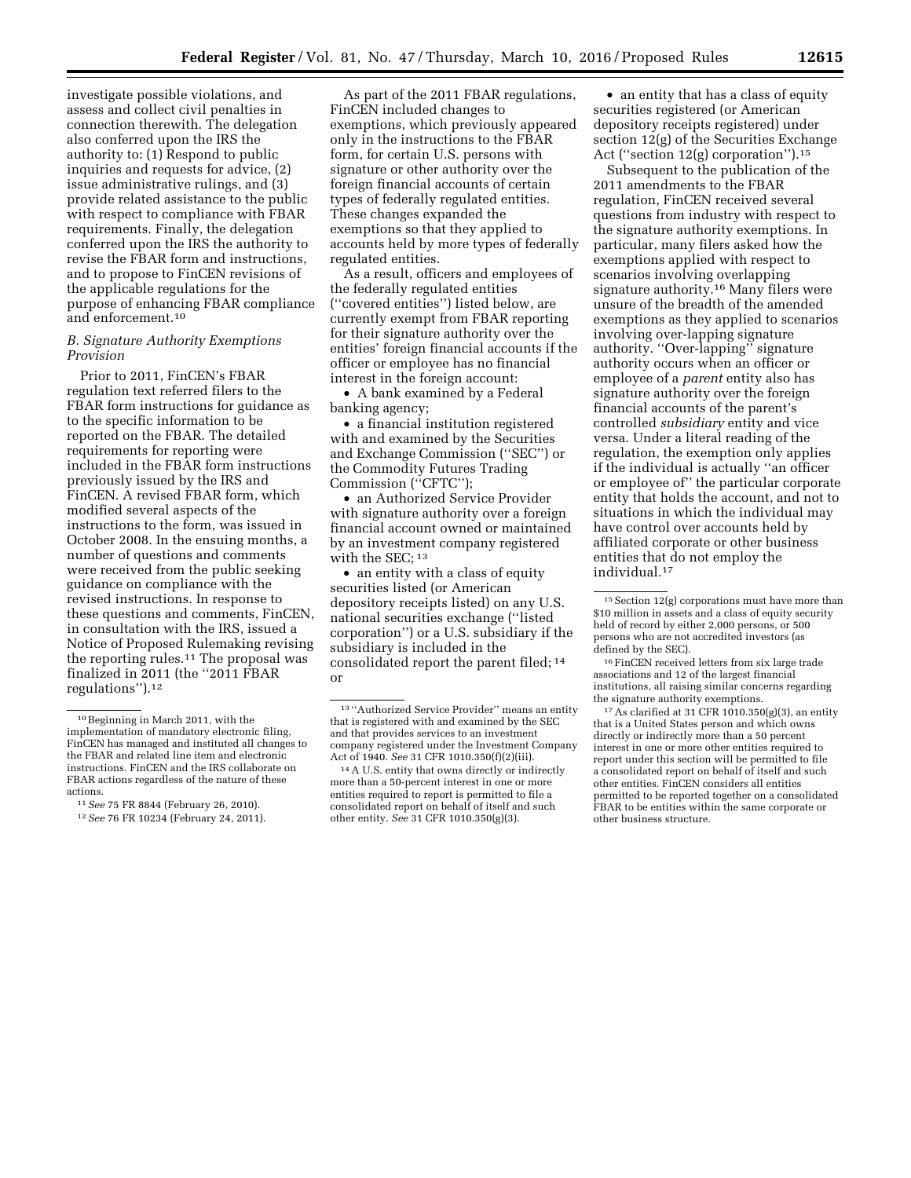investigate possible violations, and assess and collect civil penalties in connection therewith. The delegation also conferred upon the IRS the authority to: (1) Respond to public inquiries and requests for advice, (2) issue administrative rulings, and (3) provide related assistance to the public with respect to compliance with FBAR requirements. Finally, the delegation conferred upon the IRS the authority to revise the FBAR form and instructions, and to propose to FinCEN revisions of the applicable regulations for the purpose of enhancing FBAR compliance and enforcement.10

### *B. Signature Authority Exemptions Provision*

Prior to 2011, FinCEN's FBAR regulation text referred filers to the FBAR form instructions for guidance as to the specific information to be reported on the FBAR. The detailed requirements for reporting were included in the FBAR form instructions previously issued by the IRS and FinCEN. A revised FBAR form, which modified several aspects of the instructions to the form, was issued in October 2008. In the ensuing months, a number of questions and comments were received from the public seeking guidance on compliance with the revised instructions. In response to these questions and comments, FinCEN, in consultation with the IRS, issued a Notice of Proposed Rulemaking revising the reporting rules.11 The proposal was finalized in 2011 (the ''2011 FBAR regulations'').12

As part of the 2011 FBAR regulations, FinCEN included changes to exemptions, which previously appeared only in the instructions to the FBAR form, for certain U.S. persons with signature or other authority over the foreign financial accounts of certain types of federally regulated entities. These changes expanded the exemptions so that they applied to accounts held by more types of federally regulated entities.

As a result, officers and employees of the federally regulated entities (''covered entities'') listed below, are currently exempt from FBAR reporting for their signature authority over the entities' foreign financial accounts if the officer or employee has no financial interest in the foreign account:

• A bank examined by a Federal banking agency;

• a financial institution registered with and examined by the Securities and Exchange Commission (''SEC'') or the Commodity Futures Trading Commission (''CFTC'');

• an Authorized Service Provider with signature authority over a foreign financial account owned or maintained by an investment company registered with the SEC;<sup>13</sup>

• an entity with a class of equity securities listed (or American depository receipts listed) on any U.S. national securities exchange (''listed corporation'') or a U.S. subsidiary if the subsidiary is included in the consolidated report the parent filed; 14 or

• an entity that has a class of equity securities registered (or American depository receipts registered) under section 12(g) of the Securities Exchange Act ("section 12(g) corporation").<sup>15</sup>

Subsequent to the publication of the 2011 amendments to the FBAR regulation, FinCEN received several questions from industry with respect to the signature authority exemptions. In particular, many filers asked how the exemptions applied with respect to scenarios involving overlapping signature authority.16 Many filers were unsure of the breadth of the amended exemptions as they applied to scenarios involving over-lapping signature authority. "Over-lapping" signature authority occurs when an officer or employee of a *parent* entity also has signature authority over the foreign financial accounts of the parent's controlled *subsidiary* entity and vice versa. Under a literal reading of the regulation, the exemption only applies if the individual is actually ''an officer or employee of'' the particular corporate entity that holds the account, and not to situations in which the individual may have control over accounts held by affiliated corporate or other business entities that do not employ the individual.17

 $^{\rm 10}\,$  Beginning in March 2011, with the implementation of mandatory electronic filing, FinCEN has managed and instituted all changes to the FBAR and related line item and electronic instructions. FinCEN and the IRS collaborate on FBAR actions regardless of the nature of these actions.

<sup>11</sup>*See* 75 FR 8844 (February 26, 2010).

<sup>12</sup>*See* 76 FR 10234 (February 24, 2011).

<sup>13</sup> ''Authorized Service Provider'' means an entity that is registered with and examined by the SEC and that provides services to an investment company registered under the Investment Company Act of 1940. *See* 31 CFR 1010.350(f)(2)(iii).

<sup>14</sup>A U.S. entity that owns directly or indirectly more than a 50-percent interest in one or more entities required to report is permitted to file a consolidated report on behalf of itself and such other entity. *See* 31 CFR 1010.350(g)(3).

 $15$  Section  $12(g)$  corporations must have more than \$10 million in assets and a class of equity security held of record by either 2,000 persons, or 500 persons who are not accredited investors (as defined by the SEC).

<sup>&</sup>lt;sup>16</sup> FinCEN received letters from six large trade associations and 12 of the largest financial institutions, all raising similar concerns regarding the signature authority exemptions.

 $17$  As clarified at 31 CFR 1010.350(g)(3), an entity that is a United States person and which owns directly or indirectly more than a 50 percent interest in one or more other entities required to report under this section will be permitted to file a consolidated report on behalf of itself and such other entities. FinCEN considers all entities permitted to be reported together on a consolidated FBAR to be entities within the same corporate or other business structure.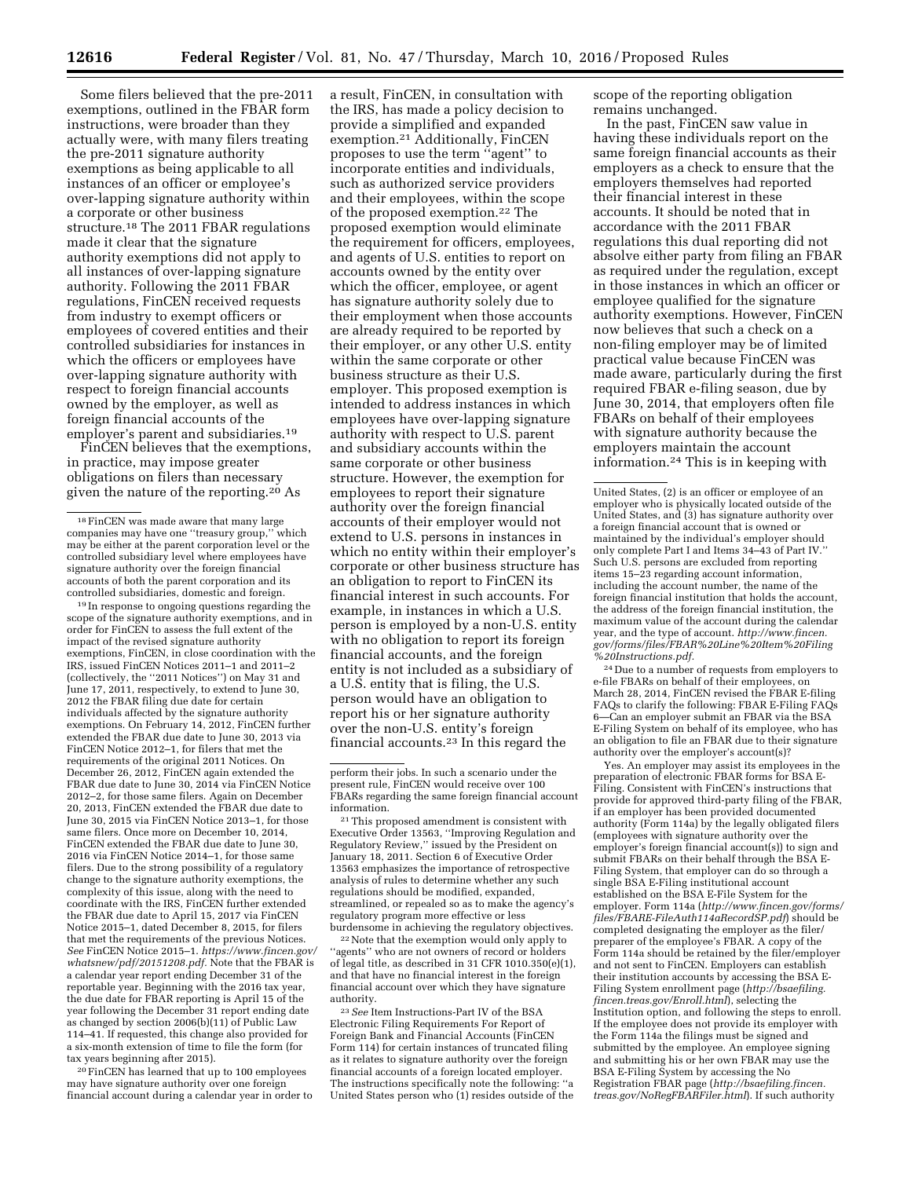Some filers believed that the pre-2011 exemptions, outlined in the FBAR form instructions, were broader than they actually were, with many filers treating the pre-2011 signature authority exemptions as being applicable to all instances of an officer or employee's over-lapping signature authority within a corporate or other business structure.18 The 2011 FBAR regulations made it clear that the signature authority exemptions did not apply to all instances of over-lapping signature authority. Following the 2011 FBAR regulations, FinCEN received requests from industry to exempt officers or employees of covered entities and their controlled subsidiaries for instances in which the officers or employees have over-lapping signature authority with respect to foreign financial accounts owned by the employer, as well as foreign financial accounts of the employer's parent and subsidiaries.19

FinCEN believes that the exemptions, in practice, may impose greater obligations on filers than necessary given the nature of the reporting.<sup>20</sup> As

19 In response to ongoing questions regarding the scope of the signature authority exemptions, and in order for FinCEN to assess the full extent of the impact of the revised signature authority exemptions, FinCEN, in close coordination with the IRS, issued FinCEN Notices 2011–1 and 2011–2 (collectively, the ''2011 Notices'') on May 31 and June 17, 2011, respectively, to extend to June 30, 2012 the FBAR filing due date for certain individuals affected by the signature authority exemptions. On February 14, 2012, FinCEN further extended the FBAR due date to June 30, 2013 via FinCEN Notice 2012–1, for filers that met the requirements of the original 2011 Notices. On December 26, 2012, FinCEN again extended the FBAR due date to June 30, 2014 via FinCEN Notice 2012–2, for those same filers. Again on December 20, 2013, FinCEN extended the FBAR due date to June 30, 2015 via FinCEN Notice 2013–1, for those same filers. Once more on December 10, 2014, FinCEN extended the FBAR due date to June 30, 2016 via FinCEN Notice 2014–1, for those same filers. Due to the strong possibility of a regulatory change to the signature authority exemptions, the complexity of this issue, along with the need to coordinate with the IRS, FinCEN further extended the FBAR due date to April 15, 2017 via FinCEN Notice 2015–1, dated December 8, 2015, for filers that met the requirements of the previous Notices. *See* FinCEN Notice 2015–1. *[https://www.fincen.gov/](https://www.fincen.gov/whatsnew/pdf/20151208.pdf) [whatsnew/pdf/20151208.pdf.](https://www.fincen.gov/whatsnew/pdf/20151208.pdf)* Note that the FBAR is a calendar year report ending December 31 of the reportable year. Beginning with the 2016 tax year, the due date for FBAR reporting is April 15 of the year following the December 31 report ending date as changed by section 2006(b)(11) of Public Law 114–41. If requested, this change also provided for a six-month extension of time to file the form (for tax years beginning after 2015).

20FinCEN has learned that up to 100 employees may have signature authority over one foreign financial account during a calendar year in order to a result, FinCEN, in consultation with the IRS, has made a policy decision to provide a simplified and expanded exemption.21 Additionally, FinCEN proposes to use the term ''agent'' to incorporate entities and individuals, such as authorized service providers and their employees, within the scope of the proposed exemption.22 The proposed exemption would eliminate the requirement for officers, employees, and agents of U.S. entities to report on accounts owned by the entity over which the officer, employee, or agent has signature authority solely due to their employment when those accounts are already required to be reported by their employer, or any other U.S. entity within the same corporate or other business structure as their U.S. employer. This proposed exemption is intended to address instances in which employees have over-lapping signature authority with respect to U.S. parent and subsidiary accounts within the same corporate or other business structure. However, the exemption for employees to report their signature authority over the foreign financial accounts of their employer would not extend to U.S. persons in instances in which no entity within their employer's corporate or other business structure has an obligation to report to FinCEN its financial interest in such accounts. For example, in instances in which a U.S. person is employed by a non-U.S. entity with no obligation to report its foreign financial accounts, and the foreign entity is not included as a subsidiary of a U.S. entity that is filing, the U.S. person would have an obligation to report his or her signature authority over the non-U.S. entity's foreign financial accounts.23 In this regard the

21This proposed amendment is consistent with Executive Order 13563, ''Improving Regulation and Regulatory Review,'' issued by the President on January 18, 2011. Section 6 of Executive Order 13563 emphasizes the importance of retrospective analysis of rules to determine whether any such regulations should be modified, expanded, streamlined, or repealed so as to make the agency's regulatory program more effective or less burdensome in achieving the regulatory objectives.

22Note that the exemption would only apply to ''agents'' who are not owners of record or holders of legal title, as described in 31 CFR 1010.350(e)(1), and that have no financial interest in the foreign financial account over which they have signature authority.

23*See* Item Instructions-Part IV of the BSA Electronic Filing Requirements For Report of Foreign Bank and Financial Accounts (FinCEN Form 114) for certain instances of truncated filing as it relates to signature authority over the foreign financial accounts of a foreign located employer. The instructions specifically note the following: ''a United States person who (1) resides outside of the scope of the reporting obligation remains unchanged.

In the past, FinCEN saw value in having these individuals report on the same foreign financial accounts as their employers as a check to ensure that the employers themselves had reported their financial interest in these accounts. It should be noted that in accordance with the 2011 FBAR regulations this dual reporting did not absolve either party from filing an FBAR as required under the regulation, except in those instances in which an officer or employee qualified for the signature authority exemptions. However, FinCEN now believes that such a check on a non-filing employer may be of limited practical value because FinCEN was made aware, particularly during the first required FBAR e-filing season, due by June 30, 2014, that employers often file FBARs on behalf of their employees with signature authority because the employers maintain the account information.24 This is in keeping with

24 Due to a number of requests from employers to e-file FBARs on behalf of their employees, on March 28, 2014, FinCEN revised the FBAR E-filing FAQs to clarify the following: FBAR E-Filing FAQs 6—Can an employer submit an FBAR via the BSA E-Filing System on behalf of its employee, who has an obligation to file an FBAR due to their signature authority over the employer's account(s)?

Yes. An employer may assist its employees in the preparation of electronic FBAR forms for BSA E-Filing. Consistent with FinCEN's instructions that provide for approved third-party filing of the FBAR, if an employer has been provided documented authority (Form 114a) by the legally obligated filers (employees with signature authority over the employer's foreign financial account(s)) to sign and submit FBARs on their behalf through the BSA E-Filing System, that employer can do so through a single BSA E-Filing institutional account established on the BSA E-File System for the employer. Form 114a (*[http://www.fincen.gov/forms/](http://www.fincen.gov/forms/files/FBARE-FileAuth114aRecordSP.pdf) [files/FBARE-FileAuth114aRecordSP.pdf](http://www.fincen.gov/forms/files/FBARE-FileAuth114aRecordSP.pdf)*) should be completed designating the employer as the filer/ preparer of the employee's FBAR. A copy of the Form 114a should be retained by the filer/employer and not sent to FinCEN. Employers can establish their institution accounts by accessing the BSA E-Filing System enrollment page (*[http://bsaefiling.](http://bsaefiling.fincen.treas.gov/Enroll.html) [fincen.treas.gov/Enroll.html](http://bsaefiling.fincen.treas.gov/Enroll.html)*), selecting the Institution option, and following the steps to enroll. If the employee does not provide its employer with the Form 114a the filings must be signed and submitted by the employee. An employee signing and submitting his or her own FBAR may use the BSA E-Filing System by accessing the No Registration FBAR page (*[http://bsaefiling.fincen.](http://bsaefiling.fincen.treas.gov/NoRegFBARFiler.html) [treas.gov/NoRegFBARFiler.html](http://bsaefiling.fincen.treas.gov/NoRegFBARFiler.html)*). If such authority

<sup>&</sup>lt;sup>18</sup> FinCEN was made aware that many large<br>ompanies may have one "treasury group." which companies may have one "treasury group," may be either at the parent corporation level or the controlled subsidiary level where employees have signature authority over the foreign financial accounts of both the parent corporation and its controlled subsidiaries, domestic and foreign.

perform their jobs. In such a scenario under the present rule, FinCEN would receive over 100 FBARs regarding the same foreign financial account information.

United States, (2) is an officer or employee of an employer who is physically located outside of the United States, and (3) has signature authority over a foreign financial account that is owned or maintained by the individual's employer should only complete Part I and Items 34–43 of Part IV.'' Such U.S. persons are excluded from reporting items 15–23 regarding account information, including the account number, the name of the foreign financial institution that holds the account, the address of the foreign financial institution, the maximum value of the account during the calendar year, and the type of account. *[http://www.fincen.](http://www.fincen.gov/forms/files/FBAR%20Line%20Item%20Filing%20Instructions.pdf) [gov/forms/files/FBAR%20Line%20Item%20Filing](http://www.fincen.gov/forms/files/FBAR%20Line%20Item%20Filing%20Instructions.pdf) [%20Instructions.pdf.](http://www.fincen.gov/forms/files/FBAR%20Line%20Item%20Filing%20Instructions.pdf)*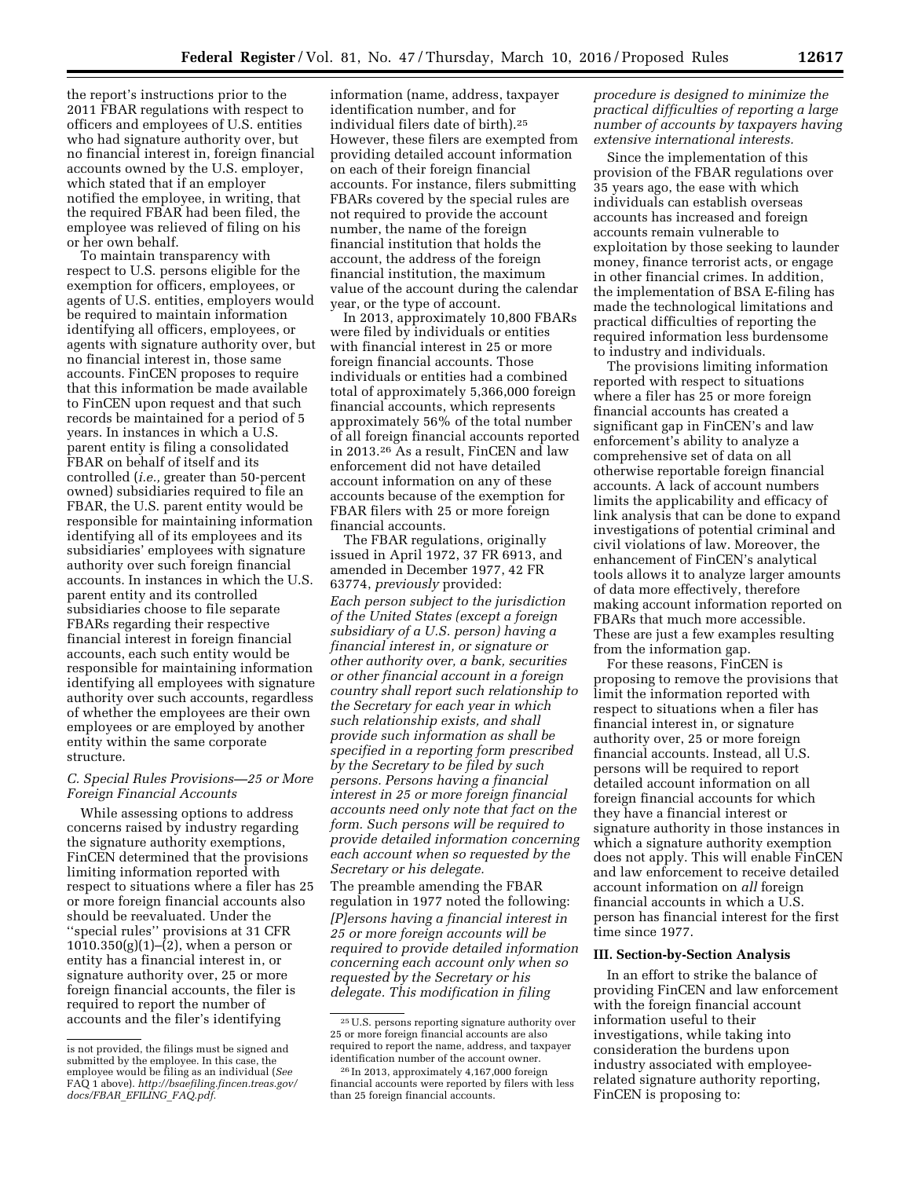the report's instructions prior to the 2011 FBAR regulations with respect to officers and employees of U.S. entities who had signature authority over, but no financial interest in, foreign financial accounts owned by the U.S. employer, which stated that if an employer notified the employee, in writing, that the required FBAR had been filed, the employee was relieved of filing on his or her own behalf.

To maintain transparency with respect to U.S. persons eligible for the exemption for officers, employees, or agents of U.S. entities, employers would be required to maintain information identifying all officers, employees, or agents with signature authority over, but no financial interest in, those same accounts. FinCEN proposes to require that this information be made available to FinCEN upon request and that such records be maintained for a period of 5 years. In instances in which a U.S. parent entity is filing a consolidated FBAR on behalf of itself and its controlled (*i.e.,* greater than 50-percent owned) subsidiaries required to file an FBAR, the U.S. parent entity would be responsible for maintaining information identifying all of its employees and its subsidiaries' employees with signature authority over such foreign financial accounts. In instances in which the U.S. parent entity and its controlled subsidiaries choose to file separate FBARs regarding their respective financial interest in foreign financial accounts, each such entity would be responsible for maintaining information identifying all employees with signature authority over such accounts, regardless of whether the employees are their own employees or are employed by another entity within the same corporate structure.

### *C. Special Rules Provisions—25 or More Foreign Financial Accounts*

While assessing options to address concerns raised by industry regarding the signature authority exemptions, FinCEN determined that the provisions limiting information reported with respect to situations where a filer has 25 or more foreign financial accounts also should be reevaluated. Under the ''special rules'' provisions at 31 CFR  $1010.350(g)(1)–(2)$ , when a person or entity has a financial interest in, or signature authority over, 25 or more foreign financial accounts, the filer is required to report the number of accounts and the filer's identifying

information (name, address, taxpayer identification number, and for individual filers date of birth).25 However, these filers are exempted from providing detailed account information on each of their foreign financial accounts. For instance, filers submitting FBARs covered by the special rules are not required to provide the account number, the name of the foreign financial institution that holds the account, the address of the foreign financial institution, the maximum value of the account during the calendar year, or the type of account.

In 2013, approximately 10,800 FBARs were filed by individuals or entities with financial interest in 25 or more foreign financial accounts. Those individuals or entities had a combined total of approximately 5,366,000 foreign financial accounts, which represents approximately 56% of the total number of all foreign financial accounts reported in 2013.26 As a result, FinCEN and law enforcement did not have detailed account information on any of these accounts because of the exemption for FBAR filers with 25 or more foreign financial accounts.

The FBAR regulations, originally issued in April 1972, 37 FR 6913, and amended in December 1977, 42 FR 63774, *previously* provided: *Each person subject to the jurisdiction of the United States (except a foreign subsidiary of a U.S. person) having a financial interest in, or signature or other authority over, a bank, securities or other financial account in a foreign country shall report such relationship to the Secretary for each year in which such relationship exists, and shall provide such information as shall be specified in a reporting form prescribed by the Secretary to be filed by such persons. Persons having a financial interest in 25 or more foreign financial accounts need only note that fact on the form. Such persons will be required to provide detailed information concerning each account when so requested by the Secretary or his delegate.* 

The preamble amending the FBAR regulation in 1977 noted the following: *[P]ersons having a financial interest in 25 or more foreign accounts will be required to provide detailed information concerning each account only when so requested by the Secretary or his delegate. This modification in filing* 

*procedure is designed to minimize the practical difficulties of reporting a large number of accounts by taxpayers having extensive international interests.* 

Since the implementation of this provision of the FBAR regulations over 35 years ago, the ease with which individuals can establish overseas accounts has increased and foreign accounts remain vulnerable to exploitation by those seeking to launder money, finance terrorist acts, or engage in other financial crimes. In addition, the implementation of BSA E-filing has made the technological limitations and practical difficulties of reporting the required information less burdensome to industry and individuals.

The provisions limiting information reported with respect to situations where a filer has 25 or more foreign financial accounts has created a significant gap in FinCEN's and law enforcement's ability to analyze a comprehensive set of data on all otherwise reportable foreign financial accounts. A lack of account numbers limits the applicability and efficacy of link analysis that can be done to expand investigations of potential criminal and civil violations of law. Moreover, the enhancement of FinCEN's analytical tools allows it to analyze larger amounts of data more effectively, therefore making account information reported on FBARs that much more accessible. These are just a few examples resulting from the information gap.

For these reasons, FinCEN is proposing to remove the provisions that limit the information reported with respect to situations when a filer has financial interest in, or signature authority over, 25 or more foreign financial accounts. Instead, all U.S. persons will be required to report detailed account information on all foreign financial accounts for which they have a financial interest or signature authority in those instances in which a signature authority exemption does not apply. This will enable FinCEN and law enforcement to receive detailed account information on *all* foreign financial accounts in which a U.S. person has financial interest for the first time since 1977.

### **III. Section-by-Section Analysis**

In an effort to strike the balance of providing FinCEN and law enforcement with the foreign financial account information useful to their investigations, while taking into consideration the burdens upon industry associated with employeerelated signature authority reporting, FinCEN is proposing to:

is not provided, the filings must be signed and submitted by the employee. In this case, the employee would be filing as an individual (*See*  FAQ 1 above). *[http://bsaefiling.fincen.treas.gov/](http://bsaefiling.fincen.treas.gov/docs/FBAR_EFILING_FAQ.pdf) [docs/FBAR](http://bsaefiling.fincen.treas.gov/docs/FBAR_EFILING_FAQ.pdf)*\_*EFILING*\_*FAQ.pdf.* 

<sup>25</sup>U.S. persons reporting signature authority over 25 or more foreign financial accounts are also required to report the name, address, and taxpayer identification number of the account owner.

<sup>26</sup> In 2013, approximately 4,167,000 foreign financial accounts were reported by filers with less than 25 foreign financial accounts.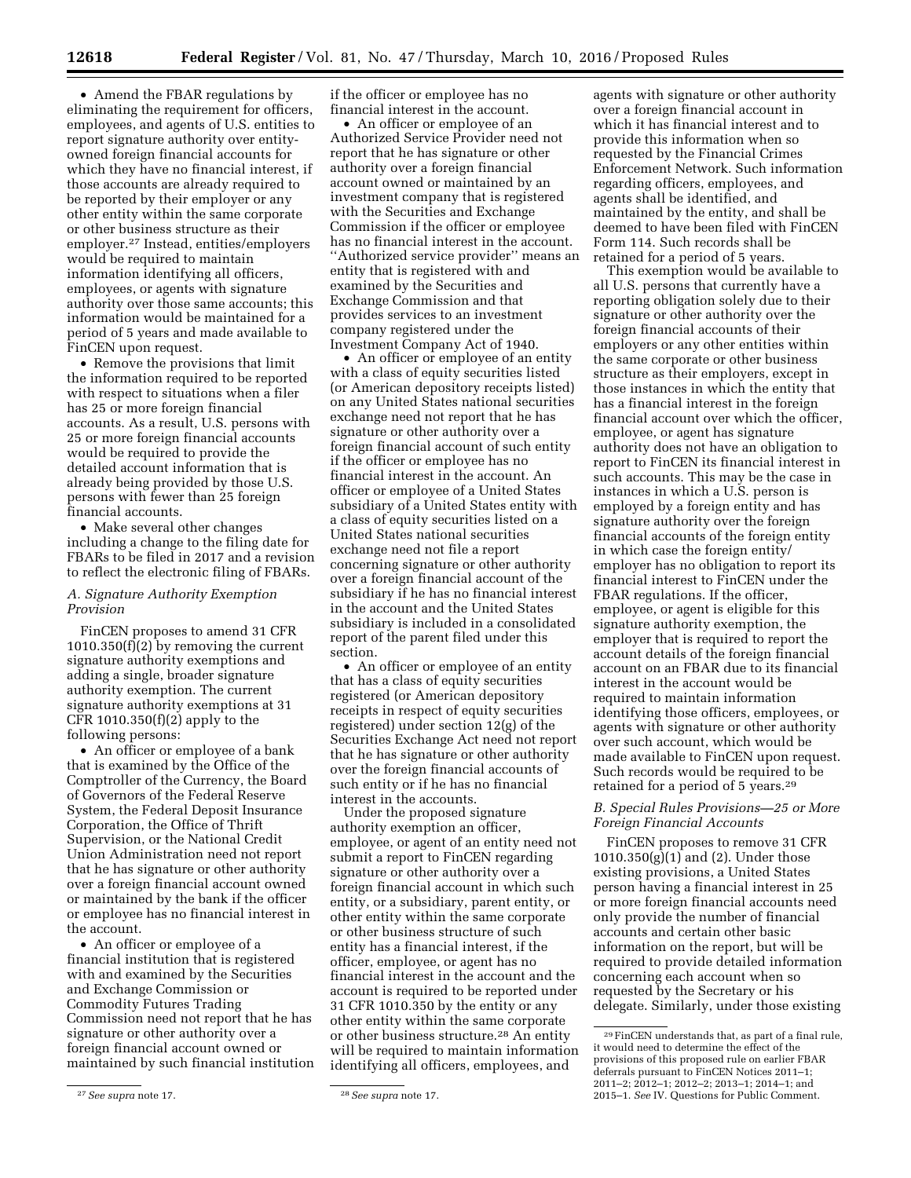• Amend the FBAR regulations by eliminating the requirement for officers, employees, and agents of U.S. entities to report signature authority over entityowned foreign financial accounts for which they have no financial interest, if those accounts are already required to be reported by their employer or any other entity within the same corporate or other business structure as their employer.27 Instead, entities/employers would be required to maintain information identifying all officers, employees, or agents with signature authority over those same accounts; this information would be maintained for a period of 5 years and made available to FinCEN upon request.

• Remove the provisions that limit the information required to be reported with respect to situations when a filer has 25 or more foreign financial accounts. As a result, U.S. persons with 25 or more foreign financial accounts would be required to provide the detailed account information that is already being provided by those U.S. persons with fewer than 25 foreign financial accounts.

• Make several other changes including a change to the filing date for FBARs to be filed in 2017 and a revision to reflect the electronic filing of FBARs.

### *A. Signature Authority Exemption Provision*

FinCEN proposes to amend 31 CFR 1010.350(f)(2) by removing the current signature authority exemptions and adding a single, broader signature authority exemption. The current signature authority exemptions at 31 CFR 1010.350(f)(2) apply to the following persons:

• An officer or employee of a bank that is examined by the Office of the Comptroller of the Currency, the Board of Governors of the Federal Reserve System, the Federal Deposit Insurance Corporation, the Office of Thrift Supervision, or the National Credit Union Administration need not report that he has signature or other authority over a foreign financial account owned or maintained by the bank if the officer or employee has no financial interest in the account.

• An officer or employee of a financial institution that is registered with and examined by the Securities and Exchange Commission or Commodity Futures Trading Commission need not report that he has signature or other authority over a foreign financial account owned or maintained by such financial institution if the officer or employee has no financial interest in the account.

• An officer or employee of an Authorized Service Provider need not report that he has signature or other authority over a foreign financial account owned or maintained by an investment company that is registered with the Securities and Exchange Commission if the officer or employee has no financial interest in the account. ''Authorized service provider'' means an entity that is registered with and examined by the Securities and Exchange Commission and that provides services to an investment company registered under the Investment Company Act of 1940.

• An officer or employee of an entity with a class of equity securities listed (or American depository receipts listed) on any United States national securities exchange need not report that he has signature or other authority over a foreign financial account of such entity if the officer or employee has no financial interest in the account. An officer or employee of a United States subsidiary of a United States entity with a class of equity securities listed on a United States national securities exchange need not file a report concerning signature or other authority over a foreign financial account of the subsidiary if he has no financial interest in the account and the United States subsidiary is included in a consolidated report of the parent filed under this section.

• An officer or employee of an entity that has a class of equity securities registered (or American depository receipts in respect of equity securities registered) under section 12(g) of the Securities Exchange Act need not report that he has signature or other authority over the foreign financial accounts of such entity or if he has no financial interest in the accounts.

Under the proposed signature authority exemption an officer, employee, or agent of an entity need not submit a report to FinCEN regarding signature or other authority over a foreign financial account in which such entity, or a subsidiary, parent entity, or other entity within the same corporate or other business structure of such entity has a financial interest, if the officer, employee, or agent has no financial interest in the account and the account is required to be reported under 31 CFR 1010.350 by the entity or any other entity within the same corporate or other business structure.28 An entity will be required to maintain information identifying all officers, employees, and

agents with signature or other authority over a foreign financial account in which it has financial interest and to provide this information when so requested by the Financial Crimes Enforcement Network. Such information regarding officers, employees, and agents shall be identified, and maintained by the entity, and shall be deemed to have been filed with FinCEN Form 114. Such records shall be retained for a period of 5 years.

This exemption would be available to all U.S. persons that currently have a reporting obligation solely due to their signature or other authority over the foreign financial accounts of their employers or any other entities within the same corporate or other business structure as their employers, except in those instances in which the entity that has a financial interest in the foreign financial account over which the officer, employee, or agent has signature authority does not have an obligation to report to FinCEN its financial interest in such accounts. This may be the case in instances in which a U.S. person is employed by a foreign entity and has signature authority over the foreign financial accounts of the foreign entity in which case the foreign entity/ employer has no obligation to report its financial interest to FinCEN under the FBAR regulations. If the officer, employee, or agent is eligible for this signature authority exemption, the employer that is required to report the account details of the foreign financial account on an FBAR due to its financial interest in the account would be required to maintain information identifying those officers, employees, or agents with signature or other authority over such account, which would be made available to FinCEN upon request. Such records would be required to be retained for a period of 5 years.29

## *B. Special Rules Provisions—25 or More Foreign Financial Accounts*

FinCEN proposes to remove 31 CFR  $1010.350(g)(1)$  and (2). Under those existing provisions, a United States person having a financial interest in 25 or more foreign financial accounts need only provide the number of financial accounts and certain other basic information on the report, but will be required to provide detailed information concerning each account when so requested by the Secretary or his delegate. Similarly, under those existing

<sup>27</sup>*See supra* note 17. 28*See supra* note 17.

<sup>29</sup>FinCEN understands that, as part of a final rule, it would need to determine the effect of the provisions of this proposed rule on earlier FBAR deferrals pursuant to FinCEN Notices 2011–1; 2011–2; 2012–1; 2012–2; 2013–1; 2014–1; and 2015–1. *See* IV. Questions for Public Comment.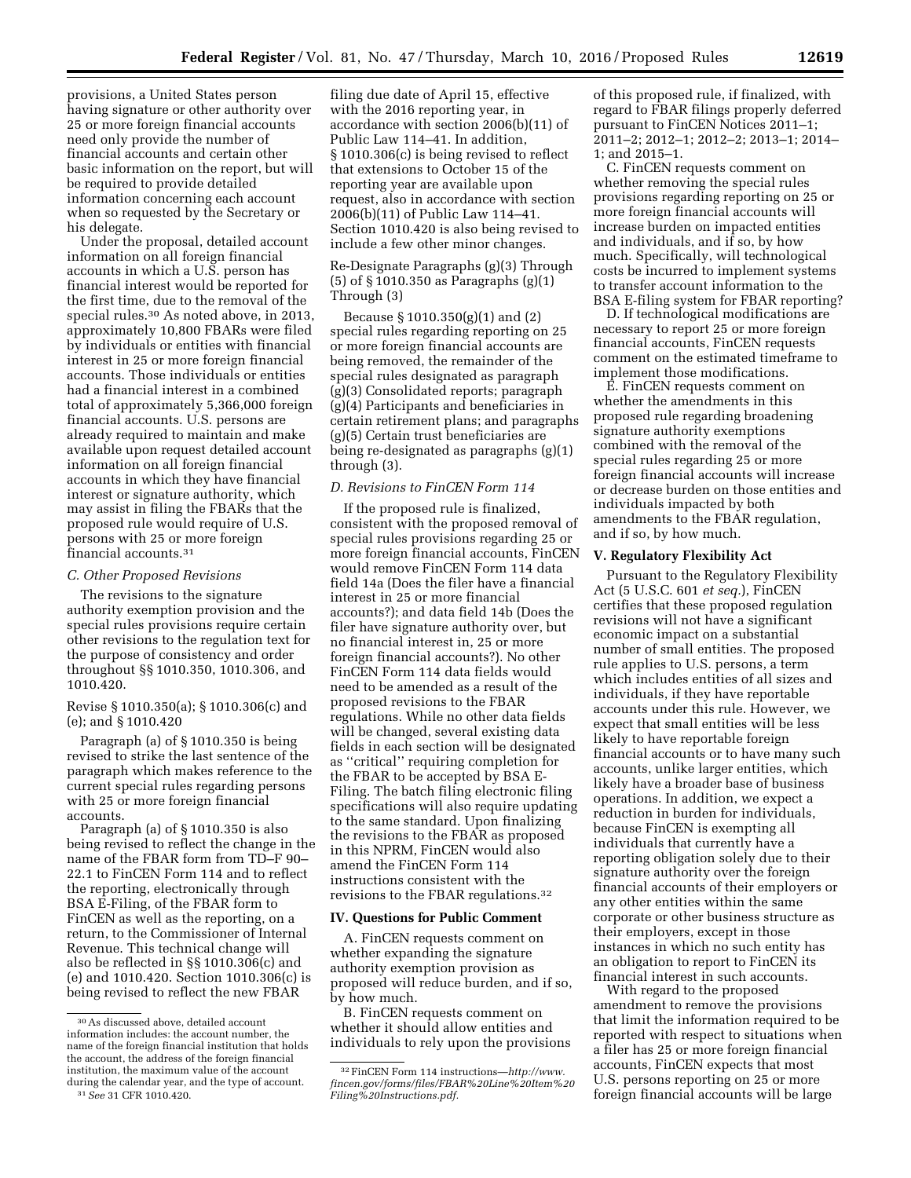provisions, a United States person having signature or other authority over 25 or more foreign financial accounts need only provide the number of financial accounts and certain other basic information on the report, but will be required to provide detailed information concerning each account when so requested by the Secretary or his delegate.

Under the proposal, detailed account information on all foreign financial accounts in which a U.S. person has financial interest would be reported for the first time, due to the removal of the special rules.30 As noted above, in 2013, approximately 10,800 FBARs were filed by individuals or entities with financial interest in 25 or more foreign financial accounts. Those individuals or entities had a financial interest in a combined total of approximately 5,366,000 foreign financial accounts. U.S. persons are already required to maintain and make available upon request detailed account information on all foreign financial accounts in which they have financial interest or signature authority, which may assist in filing the FBARs that the proposed rule would require of U.S. persons with 25 or more foreign financial accounts.31

#### *C. Other Proposed Revisions*

The revisions to the signature authority exemption provision and the special rules provisions require certain other revisions to the regulation text for the purpose of consistency and order throughout §§ 1010.350, 1010.306, and 1010.420.

Revise § 1010.350(a); § 1010.306(c) and (e); and § 1010.420

Paragraph (a) of § 1010.350 is being revised to strike the last sentence of the paragraph which makes reference to the current special rules regarding persons with 25 or more foreign financial accounts.

Paragraph (a) of § 1010.350 is also being revised to reflect the change in the name of the FBAR form from TD–F 90– 22.1 to FinCEN Form 114 and to reflect the reporting, electronically through BSA E-Filing, of the FBAR form to FinCEN as well as the reporting, on a return, to the Commissioner of Internal Revenue. This technical change will also be reflected in §§ 1010.306(c) and (e) and 1010.420. Section 1010.306(c) is being revised to reflect the new FBAR

filing due date of April 15, effective with the 2016 reporting year, in accordance with section 2006(b)(11) of Public Law 114–41. In addition, § 1010.306(c) is being revised to reflect that extensions to October 15 of the reporting year are available upon request, also in accordance with section 2006(b)(11) of Public Law 114–41. Section 1010.420 is also being revised to include a few other minor changes.

### Re-Designate Paragraphs (g)(3) Through (5) of § 1010.350 as Paragraphs (g)(1) Through (3)

Because § 1010.350(g)(1) and (2) special rules regarding reporting on 25 or more foreign financial accounts are being removed, the remainder of the special rules designated as paragraph (g)(3) Consolidated reports; paragraph (g)(4) Participants and beneficiaries in certain retirement plans; and paragraphs (g)(5) Certain trust beneficiaries are being re-designated as paragraphs (g)(1) through (3).

## *D. Revisions to FinCEN Form 114*

If the proposed rule is finalized, consistent with the proposed removal of special rules provisions regarding 25 or more foreign financial accounts, FinCEN would remove FinCEN Form 114 data field 14a (Does the filer have a financial interest in 25 or more financial accounts?); and data field 14b (Does the filer have signature authority over, but no financial interest in, 25 or more foreign financial accounts?). No other FinCEN Form 114 data fields would need to be amended as a result of the proposed revisions to the FBAR regulations. While no other data fields will be changed, several existing data fields in each section will be designated as ''critical'' requiring completion for the FBAR to be accepted by BSA E-Filing. The batch filing electronic filing specifications will also require updating to the same standard. Upon finalizing the revisions to the FBAR as proposed in this NPRM, FinCEN would also amend the FinCEN Form 114 instructions consistent with the revisions to the FBAR regulations.32

#### **IV. Questions for Public Comment**

A. FinCEN requests comment on whether expanding the signature authority exemption provision as proposed will reduce burden, and if so, by how much.

B. FinCEN requests comment on whether it should allow entities and individuals to rely upon the provisions of this proposed rule, if finalized, with regard to FBAR filings properly deferred pursuant to FinCEN Notices 2011–1; 2011–2; 2012–1; 2012–2; 2013–1; 2014– 1; and 2015–1.

C. FinCEN requests comment on whether removing the special rules provisions regarding reporting on 25 or more foreign financial accounts will increase burden on impacted entities and individuals, and if so, by how much. Specifically, will technological costs be incurred to implement systems to transfer account information to the BSA E-filing system for FBAR reporting?

D. If technological modifications are necessary to report 25 or more foreign financial accounts, FinCEN requests comment on the estimated timeframe to implement those modifications.

E. FinCEN requests comment on whether the amendments in this proposed rule regarding broadening signature authority exemptions combined with the removal of the special rules regarding 25 or more foreign financial accounts will increase or decrease burden on those entities and individuals impacted by both amendments to the FBAR regulation, and if so, by how much.

## **V. Regulatory Flexibility Act**

Pursuant to the Regulatory Flexibility Act (5 U.S.C. 601 *et seq.*), FinCEN certifies that these proposed regulation revisions will not have a significant economic impact on a substantial number of small entities. The proposed rule applies to U.S. persons, a term which includes entities of all sizes and individuals, if they have reportable accounts under this rule. However, we expect that small entities will be less likely to have reportable foreign financial accounts or to have many such accounts, unlike larger entities, which likely have a broader base of business operations. In addition, we expect a reduction in burden for individuals, because FinCEN is exempting all individuals that currently have a reporting obligation solely due to their signature authority over the foreign financial accounts of their employers or any other entities within the same corporate or other business structure as their employers, except in those instances in which no such entity has an obligation to report to FinCEN its financial interest in such accounts.

With regard to the proposed amendment to remove the provisions that limit the information required to be reported with respect to situations when a filer has 25 or more foreign financial accounts, FinCEN expects that most U.S. persons reporting on 25 or more foreign financial accounts will be large

<sup>30</sup>As discussed above, detailed account information includes: the account number, the name of the foreign financial institution that holds the account, the address of the foreign financial institution, the maximum value of the account during the calendar year, and the type of account.

<sup>31</sup>*See* 31 CFR 1010.420.

<sup>32</sup>FinCEN Form 114 instructions—*[http://www.](http://www.fincen.gov/forms/files/FBAR%20Line%20Item%20Filing%20Instructions.pdf) [fincen.gov/forms/files/FBAR%20Line%20Item%20](http://www.fincen.gov/forms/files/FBAR%20Line%20Item%20Filing%20Instructions.pdf) [Filing%20Instructions.pdf.](http://www.fincen.gov/forms/files/FBAR%20Line%20Item%20Filing%20Instructions.pdf)*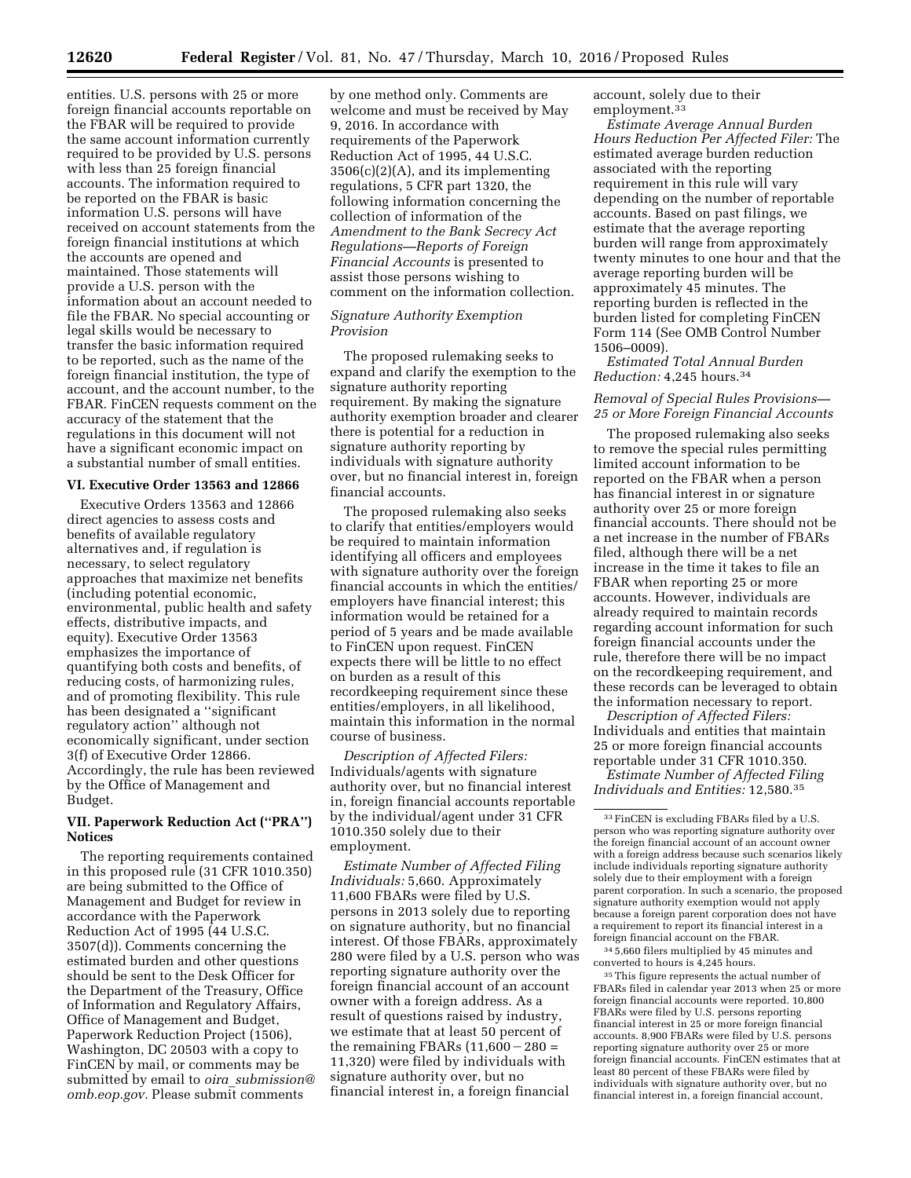entities. U.S. persons with 25 or more foreign financial accounts reportable on the FBAR will be required to provide the same account information currently required to be provided by U.S. persons with less than 25 foreign financial accounts. The information required to be reported on the FBAR is basic information U.S. persons will have received on account statements from the foreign financial institutions at which the accounts are opened and maintained. Those statements will provide a U.S. person with the information about an account needed to file the FBAR. No special accounting or legal skills would be necessary to transfer the basic information required to be reported, such as the name of the foreign financial institution, the type of account, and the account number, to the FBAR. FinCEN requests comment on the accuracy of the statement that the regulations in this document will not have a significant economic impact on a substantial number of small entities.

#### **VI. Executive Order 13563 and 12866**

Executive Orders 13563 and 12866 direct agencies to assess costs and benefits of available regulatory alternatives and, if regulation is necessary, to select regulatory approaches that maximize net benefits (including potential economic, environmental, public health and safety effects, distributive impacts, and equity). Executive Order 13563 emphasizes the importance of quantifying both costs and benefits, of reducing costs, of harmonizing rules, and of promoting flexibility. This rule has been designated a ''significant regulatory action'' although not economically significant, under section 3(f) of Executive Order 12866. Accordingly, the rule has been reviewed by the Office of Management and Budget.

### **VII. Paperwork Reduction Act (''PRA'') Notices**

The reporting requirements contained in this proposed rule (31 CFR 1010.350) are being submitted to the Office of Management and Budget for review in accordance with the Paperwork Reduction Act of 1995 (44 U.S.C. 3507(d)). Comments concerning the estimated burden and other questions should be sent to the Desk Officer for the Department of the Treasury, Office of Information and Regulatory Affairs, Office of Management and Budget, Paperwork Reduction Project (1506), Washington, DC 20503 with a copy to FinCEN by mail, or comments may be submitted by email to *oira*\_*[submission@](mailto:oira_submission@omb.eop.gov) [omb.eop.gov.](mailto:oira_submission@omb.eop.gov)* Please submit comments

by one method only. Comments are welcome and must be received by May 9, 2016. In accordance with requirements of the Paperwork Reduction Act of 1995, 44 U.S.C. 3506(c)(2)(A), and its implementing regulations, 5 CFR part 1320, the following information concerning the collection of information of the *Amendment to the Bank Secrecy Act Regulations—Reports of Foreign Financial Accounts* is presented to assist those persons wishing to comment on the information collection.

## *Signature Authority Exemption Provision*

The proposed rulemaking seeks to expand and clarify the exemption to the signature authority reporting requirement. By making the signature authority exemption broader and clearer there is potential for a reduction in signature authority reporting by individuals with signature authority over, but no financial interest in, foreign financial accounts.

The proposed rulemaking also seeks to clarify that entities/employers would be required to maintain information identifying all officers and employees with signature authority over the foreign financial accounts in which the entities/ employers have financial interest; this information would be retained for a period of 5 years and be made available to FinCEN upon request. FinCEN expects there will be little to no effect on burden as a result of this recordkeeping requirement since these entities/employers, in all likelihood, maintain this information in the normal course of business.

*Description of Affected Filers:*  Individuals/agents with signature authority over, but no financial interest in, foreign financial accounts reportable by the individual/agent under 31 CFR 1010.350 solely due to their employment.

*Estimate Number of Affected Filing Individuals:* 5,660. Approximately 11,600 FBARs were filed by U.S. persons in 2013 solely due to reporting on signature authority, but no financial interest. Of those FBARs, approximately 280 were filed by a U.S. person who was reporting signature authority over the foreign financial account of an account owner with a foreign address. As a result of questions raised by industry, we estimate that at least 50 percent of the remaining FBARs  $(11,600 - 280)$ 11,320) were filed by individuals with signature authority over, but no financial interest in, a foreign financial

account, solely due to their employment.33

*Estimate Average Annual Burden Hours Reduction Per Affected Filer:* The estimated average burden reduction associated with the reporting requirement in this rule will vary depending on the number of reportable accounts. Based on past filings, we estimate that the average reporting burden will range from approximately twenty minutes to one hour and that the average reporting burden will be approximately 45 minutes. The reporting burden is reflected in the burden listed for completing FinCEN Form 114 (See OMB Control Number 1506–0009).

*Estimated Total Annual Burden Reduction:* 4,245 hours.34

### *Removal of Special Rules Provisions— 25 or More Foreign Financial Accounts*

The proposed rulemaking also seeks to remove the special rules permitting limited account information to be reported on the FBAR when a person has financial interest in or signature authority over 25 or more foreign financial accounts. There should not be a net increase in the number of FBARs filed, although there will be a net increase in the time it takes to file an FBAR when reporting 25 or more accounts. However, individuals are already required to maintain records regarding account information for such foreign financial accounts under the rule, therefore there will be no impact on the recordkeeping requirement, and these records can be leveraged to obtain the information necessary to report.

*Description of Affected Filers:*  Individuals and entities that maintain 25 or more foreign financial accounts reportable under 31 CFR 1010.350.

*Estimate Number of Affected Filing Individuals and Entities:* 12,580.35

34 5,660 filers multiplied by 45 minutes and converted to hours is 4,245 hours.

35This figure represents the actual number of FBARs filed in calendar year 2013 when 25 or more foreign financial accounts were reported. 10,800 FBARs were filed by U.S. persons reporting financial interest in 25 or more foreign financial accounts. 8,900 FBARs were filed by U.S. persons reporting signature authority over 25 or more foreign financial accounts. FinCEN estimates that at least 80 percent of these FBARs were filed by individuals with signature authority over, but no financial interest in, a foreign financial account,

<sup>33</sup>FinCEN is excluding FBARs filed by a U.S. person who was reporting signature authority over the foreign financial account of an account owner with a foreign address because such scenarios likely include individuals reporting signature authority solely due to their employment with a foreign parent corporation. In such a scenario, the proposed signature authority exemption would not apply because a foreign parent corporation does not have a requirement to report its financial interest in a foreign financial account on the FBAR.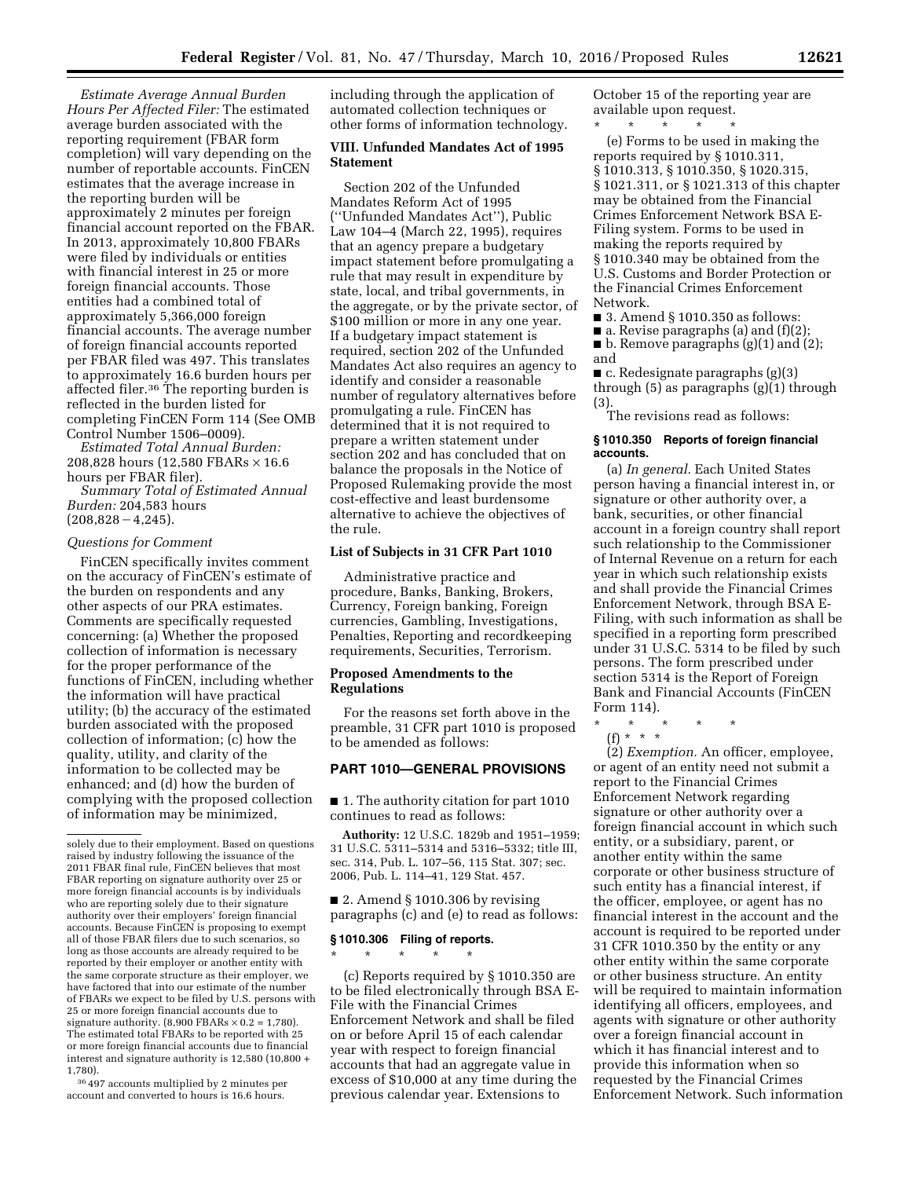*Estimate Average Annual Burden Hours Per Affected Filer:* The estimated average burden associated with the reporting requirement (FBAR form completion) will vary depending on the number of reportable accounts. FinCEN estimates that the average increase in the reporting burden will be approximately 2 minutes per foreign financial account reported on the FBAR. In 2013, approximately 10,800 FBARs were filed by individuals or entities with financial interest in 25 or more foreign financial accounts. Those entities had a combined total of approximately 5,366,000 foreign financial accounts. The average number of foreign financial accounts reported per FBAR filed was 497. This translates to approximately 16.6 burden hours per affected filer.<sup>36</sup> The reporting burden is reflected in the burden listed for completing FinCEN Form 114 (See OMB Control Number 1506–0009).

*Estimated Total Annual Burden:*  208,828 hours (12,580 FBARs × 16.6 hours per FBAR filer).

*Summary Total of Estimated Annual Burden:* 204,583 hours  $(208,828-4,245).$ 

#### *Questions for Comment*

FinCEN specifically invites comment on the accuracy of FinCEN's estimate of the burden on respondents and any other aspects of our PRA estimates. Comments are specifically requested concerning: (a) Whether the proposed collection of information is necessary for the proper performance of the functions of FinCEN, including whether the information will have practical utility; (b) the accuracy of the estimated burden associated with the proposed collection of information; (c) how the quality, utility, and clarity of the information to be collected may be enhanced; and (d) how the burden of complying with the proposed collection of information may be minimized,

36 497 accounts multiplied by 2 minutes per account and converted to hours is 16.6 hours.

including through the application of automated collection techniques or other forms of information technology.

### **VIII. Unfunded Mandates Act of 1995 Statement**

Section 202 of the Unfunded Mandates Reform Act of 1995 (''Unfunded Mandates Act''), Public Law 104–4 (March 22, 1995), requires that an agency prepare a budgetary impact statement before promulgating a rule that may result in expenditure by state, local, and tribal governments, in the aggregate, or by the private sector, of \$100 million or more in any one year. If a budgetary impact statement is required, section 202 of the Unfunded Mandates Act also requires an agency to identify and consider a reasonable number of regulatory alternatives before promulgating a rule. FinCEN has determined that it is not required to prepare a written statement under section 202 and has concluded that on balance the proposals in the Notice of Proposed Rulemaking provide the most cost-effective and least burdensome alternative to achieve the objectives of the rule.

### **List of Subjects in 31 CFR Part 1010**

Administrative practice and procedure, Banks, Banking, Brokers, Currency, Foreign banking, Foreign currencies, Gambling, Investigations, Penalties, Reporting and recordkeeping requirements, Securities, Terrorism.

### **Proposed Amendments to the Regulations**

For the reasons set forth above in the preamble, 31 CFR part 1010 is proposed to be amended as follows:

## **PART 1010—GENERAL PROVISIONS**

■ 1. The authority citation for part 1010 continues to read as follows:

**Authority:** 12 U.S.C. 1829b and 1951–1959; 31 U.S.C. 5311–5314 and 5316–5332; title III, sec. 314, Pub. L. 107–56, 115 Stat. 307; sec. 2006, Pub. L. 114–41, 129 Stat. 457.

■ 2. Amend § 1010.306 by revising paragraphs (c) and (e) to read as follows:

# **§ 1010.306 Filing of reports.**  \* \* \* \* \*

(c) Reports required by § 1010.350 are to be filed electronically through BSA E-File with the Financial Crimes Enforcement Network and shall be filed on or before April 15 of each calendar year with respect to foreign financial accounts that had an aggregate value in excess of \$10,000 at any time during the previous calendar year. Extensions to

October 15 of the reporting year are available upon request.

\* \* \* \* \* (e) Forms to be used in making the reports required by § 1010.311, § 1010.313, § 1010.350, § 1020.315, § 1021.311, or § 1021.313 of this chapter may be obtained from the Financial Crimes Enforcement Network BSA E-Filing system. Forms to be used in making the reports required by § 1010.340 may be obtained from the U.S. Customs and Border Protection or the Financial Crimes Enforcement Network.

■ 3. Amend § 1010.350 as follows:

 $\blacksquare$  a. Revise paragraphs (a) and (f)(2);

■ b. Remove paragraphs (g)(1) and (2); and

 $\blacksquare$  c. Redesignate paragraphs (g)(3) through (5) as paragraphs (g)(1) through (3).

The revisions read as follows:

#### **§ 1010.350 Reports of foreign financial accounts.**

(a) *In general.* Each United States person having a financial interest in, or signature or other authority over, a bank, securities, or other financial account in a foreign country shall report such relationship to the Commissioner of Internal Revenue on a return for each year in which such relationship exists and shall provide the Financial Crimes Enforcement Network, through BSA E-Filing, with such information as shall be specified in a reporting form prescribed under 31 U.S.C. 5314 to be filed by such persons. The form prescribed under section 5314 is the Report of Foreign Bank and Financial Accounts (FinCEN Form 114).

\* \* \* \* \*

(f) \* \* \*

(2) *Exemption.* An officer, employee, or agent of an entity need not submit a report to the Financial Crimes Enforcement Network regarding signature or other authority over a foreign financial account in which such entity, or a subsidiary, parent, or another entity within the same corporate or other business structure of such entity has a financial interest, if the officer, employee, or agent has no financial interest in the account and the account is required to be reported under 31 CFR 1010.350 by the entity or any other entity within the same corporate or other business structure. An entity will be required to maintain information identifying all officers, employees, and agents with signature or other authority over a foreign financial account in which it has financial interest and to provide this information when so requested by the Financial Crimes Enforcement Network. Such information

solely due to their employment. Based on questions raised by industry following the issuance of the 2011 FBAR final rule, FinCEN believes that most FBAR reporting on signature authority over 25 or more foreign financial accounts is by individuals who are reporting solely due to their signature authority over their employers' foreign financial accounts. Because FinCEN is proposing to exempt all of those FBAR filers due to such scenarios, so long as those accounts are already required to be reported by their employer or another entity with the same corporate structure as their employer, we have factored that into our estimate of the number of FBARs we expect to be filed by U.S. persons with 25 or more foreign financial accounts due to signature authority.  $(8,900$  FBARs  $\times$  0.2 = 1,780). The estimated total FBARs to be reported with 25 or more foreign financial accounts due to financial interest and signature authority is 12,580 (10,800 + 1,780).